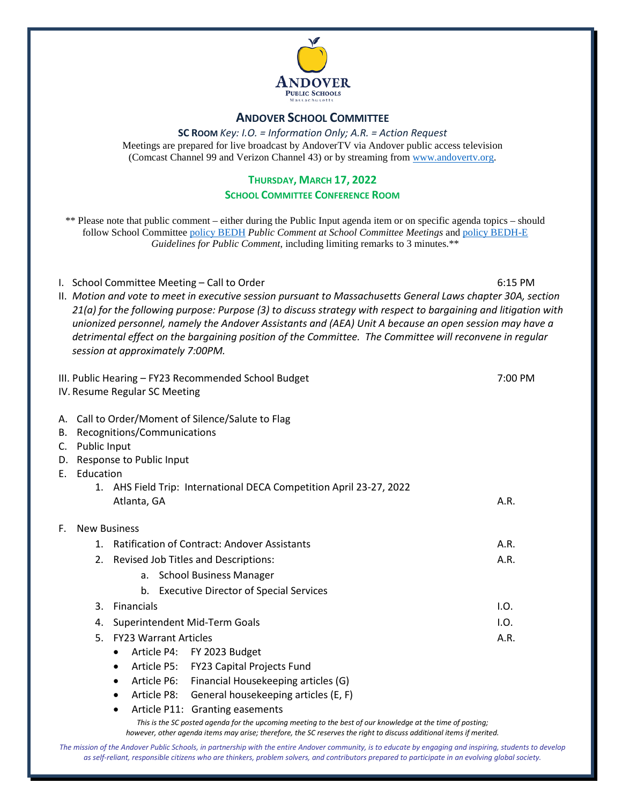

#### **ANDOVER SCHOOL COMMITTEE**

**SC ROOM** *Key: I.O. = Information Only; A.R. = Action Request* Meetings are prepared for live broadcast by AndoverTV via Andover public access television (Comcast Channel 99 and Verizon Channel 43) or by streaming from [www.andovertv.org.](http://www.andovertv.org/)

#### **THURSDAY, MARCH 17, 2022**

#### **SCHOOL COMMITTEE CONFERENCE ROOM**

\*\* Please note that public comment – either during the Public Input agenda item or on specific agenda topics – should follow School Committee [policy BEDH](https://z2policy.ctspublish.com/masc/browse/andoverset/andover/BEDH) *Public Comment at School Committee Meetings* an[d policy BEDH-E](https://z2policy.ctspublish.com/masc/browse/andoverset/andover/BEDH-E/z2Code_BEDH-E) *Guidelines for Public Comment*, including limiting remarks to 3 minutes.\*\*

I. School Committee Meeting – Call to Order 6:15 PM

II. *Motion and vote to meet in executive session pursuant to Massachusetts General Laws chapter 30A, section 21(a) for the following purpose: Purpose (3) to discuss strategy with respect to bargaining and litigation with unionized personnel, namely the Andover Assistants and (AEA) Unit A because an open session may have a detrimental effect on the bargaining position of the Committee. The Committee will reconvene in regular session at approximately 7:00PM.*

III. Public Hearing – FY23 Recommended School Budget 7:00 PM IV. Resume Regular SC Meeting A. Call to Order/Moment of Silence/Salute to Flag B. Recognitions/Communications C. Public Input D. Response to Public Input E. Education 1. AHS Field Trip: International DECA Competition April 23-27, 2022 Atlanta, GA A.R. F. New Business 1. Ratification of Contract: Andover Assistants A.R. 2. Revised Job Titles and Descriptions: A.R. a. School Business Manager b. Executive Director of Special Services 3. Financials I.O. 4. Superintendent Mid-Term Goals I.O. 5. FY23 Warrant Articles A.R. • Article P4: FY 2023 Budget • Article P5: FY23 Capital Projects Fund • Article P6: Financial Housekeeping articles (G) • Article P8: General housekeeping articles (E, F) Article P11: Granting easements

> *This is the SC posted agenda for the upcoming meeting to the best of our knowledge at the time of posting; however, other agenda items may arise; therefore, the SC reserves the right to discuss additional items if merited.*

*The mission of the Andover Public Schools, in partnership with the entire Andover community, is to educate by engaging and inspiring, students to develop as self-reliant, responsible citizens who are thinkers, problem solvers, and contributors prepared to participate in an evolving global society.*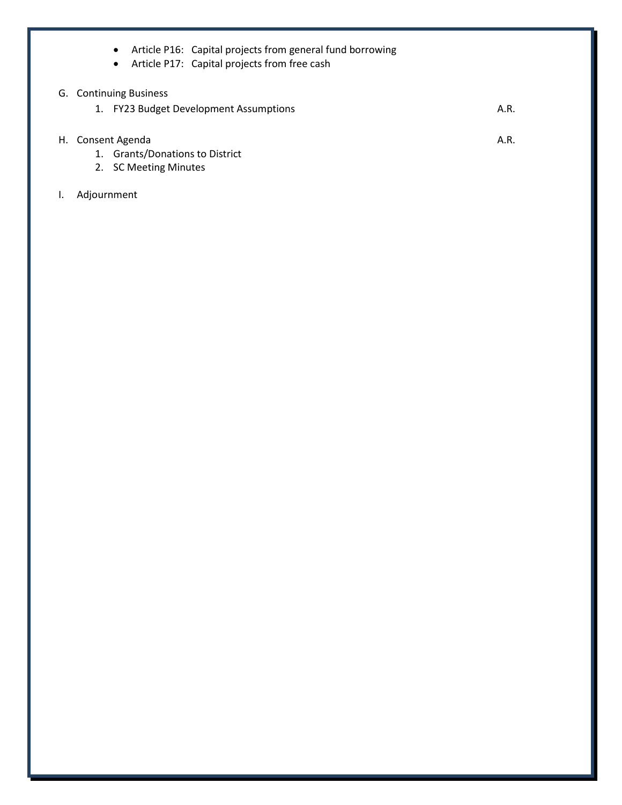|    | Article P16: Capital projects from general fund borrowing<br>$\bullet$ |      |
|----|------------------------------------------------------------------------|------|
|    | Article P17: Capital projects from free cash<br>$\bullet$              |      |
|    | G. Continuing Business                                                 |      |
|    | <b>FY23 Budget Development Assumptions</b><br>1.                       | A.R. |
|    |                                                                        |      |
| H. | Consent Agenda                                                         | A.R. |
|    | <b>Grants/Donations to District</b><br>1.                              |      |
|    | 2. SC Meeting Minutes                                                  |      |
|    | Adjournment                                                            |      |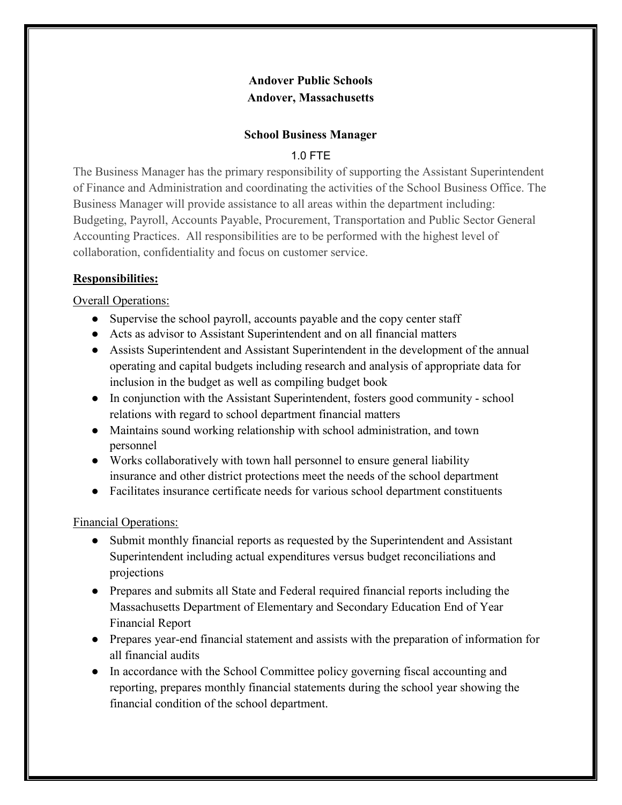# **Andover Public Schools Andover, Massachusetts**

#### **School Business Manager**

# 1.0 FTE

The Business Manager has the primary responsibility of supporting the Assistant Superintendent of Finance and Administration and coordinating the activities of the School Business Office. The Business Manager will provide assistance to all areas within the department including: Budgeting, Payroll, Accounts Payable, Procurement, Transportation and Public Sector General Accounting Practices. All responsibilities are to be performed with the highest level of collaboration, confidentiality and focus on customer service.

# **Responsibilities:**

Overall Operations:

- Supervise the school payroll, accounts payable and the copy center staff
- Acts as advisor to Assistant Superintendent and on all financial matters
- Assists Superintendent and Assistant Superintendent in the development of the annual operating and capital budgets including research and analysis of appropriate data for inclusion in the budget as well as compiling budget book
- In conjunction with the Assistant Superintendent, fosters good community school relations with regard to school department financial matters
- Maintains sound working relationship with school administration, and town personnel
- Works collaboratively with town hall personnel to ensure general liability insurance and other district protections meet the needs of the school department
- Facilitates insurance certificate needs for various school department constituents

Financial Operations:

- Submit monthly financial reports as requested by the Superintendent and Assistant Superintendent including actual expenditures versus budget reconciliations and projections
- Prepares and submits all State and Federal required financial reports including the Massachusetts Department of Elementary and Secondary Education End of Year Financial Report
- Prepares year-end financial statement and assists with the preparation of information for all financial audits
- In accordance with the School Committee policy governing fiscal accounting and reporting, prepares monthly financial statements during the school year showing the financial condition of the school department.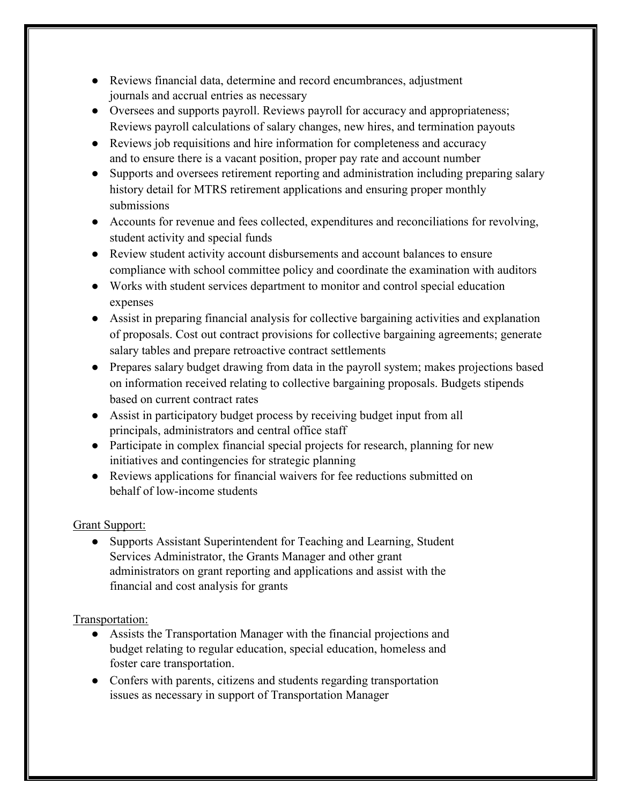- Reviews financial data, determine and record encumbrances, adjustment journals and accrual entries as necessary
- Oversees and supports payroll. Reviews payroll for accuracy and appropriateness; Reviews payroll calculations of salary changes, new hires, and termination payouts
- Reviews job requisitions and hire information for completeness and accuracy and to ensure there is a vacant position, proper pay rate and account number
- Supports and oversees retirement reporting and administration including preparing salary history detail for MTRS retirement applications and ensuring proper monthly submissions
- Accounts for revenue and fees collected, expenditures and reconciliations for revolving, student activity and special funds
- Review student activity account disbursements and account balances to ensure compliance with school committee policy and coordinate the examination with auditors
- Works with student services department to monitor and control special education expenses
- Assist in preparing financial analysis for collective bargaining activities and explanation of proposals. Cost out contract provisions for collective bargaining agreements; generate salary tables and prepare retroactive contract settlements
- Prepares salary budget drawing from data in the payroll system; makes projections based on information received relating to collective bargaining proposals. Budgets stipends based on current contract rates
- Assist in participatory budget process by receiving budget input from all principals, administrators and central office staff
- Participate in complex financial special projects for research, planning for new initiatives and contingencies for strategic planning
- Reviews applications for financial waivers for fee reductions submitted on behalf of low-income students

# Grant Support:

● Supports Assistant Superintendent for Teaching and Learning, Student Services Administrator, the Grants Manager and other grant administrators on grant reporting and applications and assist with the financial and cost analysis for grants

# Transportation:

- Assists the Transportation Manager with the financial projections and budget relating to regular education, special education, homeless and foster care transportation.
- Confers with parents, citizens and students regarding transportation issues as necessary in support of Transportation Manager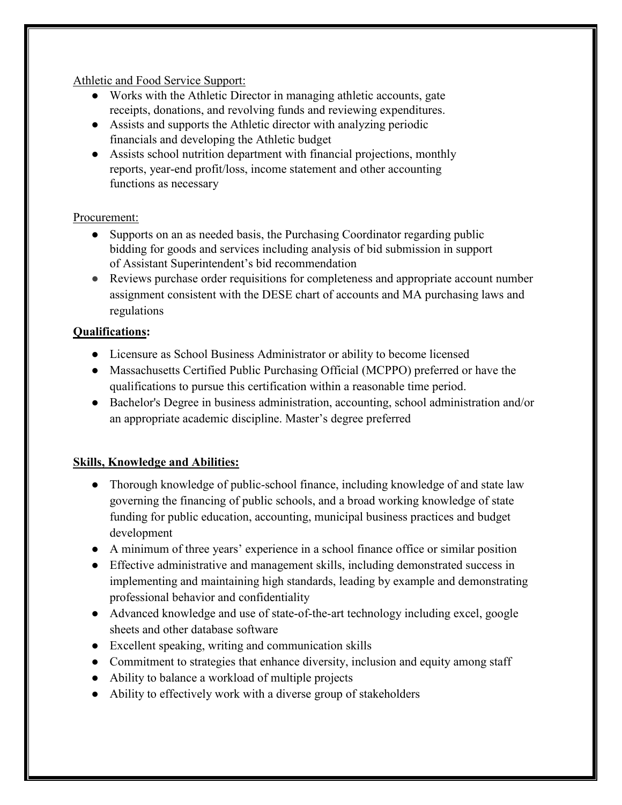Athletic and Food Service Support:

- Works with the Athletic Director in managing athletic accounts, gate receipts, donations, and revolving funds and reviewing expenditures.
- Assists and supports the Athletic director with analyzing periodic financials and developing the Athletic budget
- Assists school nutrition department with financial projections, monthly reports, year-end profit/loss, income statement and other accounting functions as necessary

# Procurement:

- Supports on an as needed basis, the Purchasing Coordinator regarding public bidding for goods and services including analysis of bid submission in support of Assistant Superintendent's bid recommendation
- Reviews purchase order requisitions for completeness and appropriate account number assignment consistent with the DESE chart of accounts and MA purchasing laws and regulations

# **Qualifications:**

- Licensure as School Business Administrator or ability to become licensed
- Massachusetts Certified Public Purchasing Official (MCPPO) preferred or have the qualifications to pursue this certification within a reasonable time period.
- Bachelor's Degree in business administration, accounting, school administration and/or an appropriate academic discipline. Master's degree preferred

# **Skills, Knowledge and Abilities:**

- Thorough knowledge of public-school finance, including knowledge of and state law governing the financing of public schools, and a broad working knowledge of state funding for public education, accounting, municipal business practices and budget development
- A minimum of three years' experience in a school finance office or similar position
- Effective administrative and management skills, including demonstrated success in implementing and maintaining high standards, leading by example and demonstrating professional behavior and confidentiality
- Advanced knowledge and use of state-of-the-art technology including excel, google sheets and other database software
- Excellent speaking, writing and communication skills
- Commitment to strategies that enhance diversity, inclusion and equity among staff
- Ability to balance a workload of multiple projects
- Ability to effectively work with a diverse group of stakeholders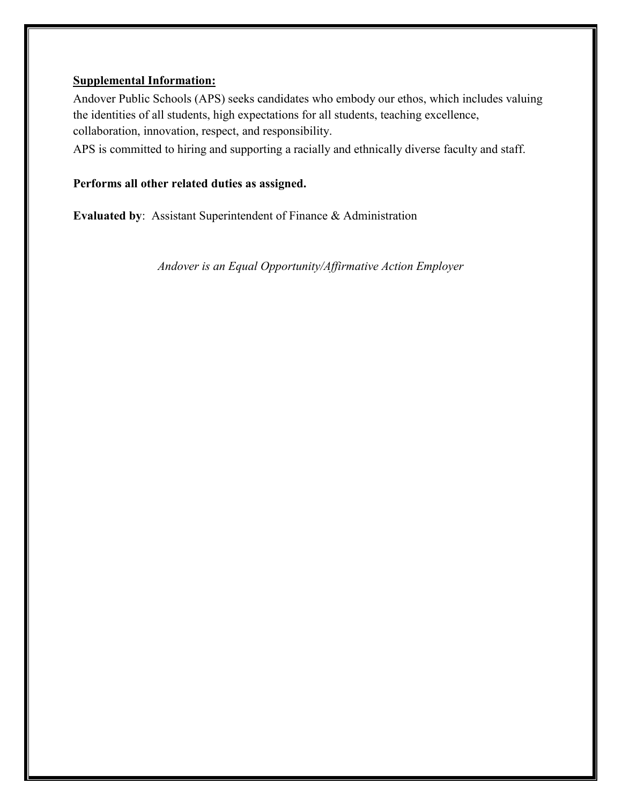#### **Supplemental Information:**

Andover Public Schools (APS) seeks candidates who embody our ethos, which includes valuing the identities of all students, high expectations for all students, teaching excellence, collaboration, innovation, respect, and responsibility.

APS is committed to hiring and supporting a racially and ethnically diverse faculty and staff.

# **Performs all other related duties as assigned.**

**Evaluated by**: Assistant Superintendent of Finance & Administration

*Andover is an Equal Opportunity/Affirmative Action Employer*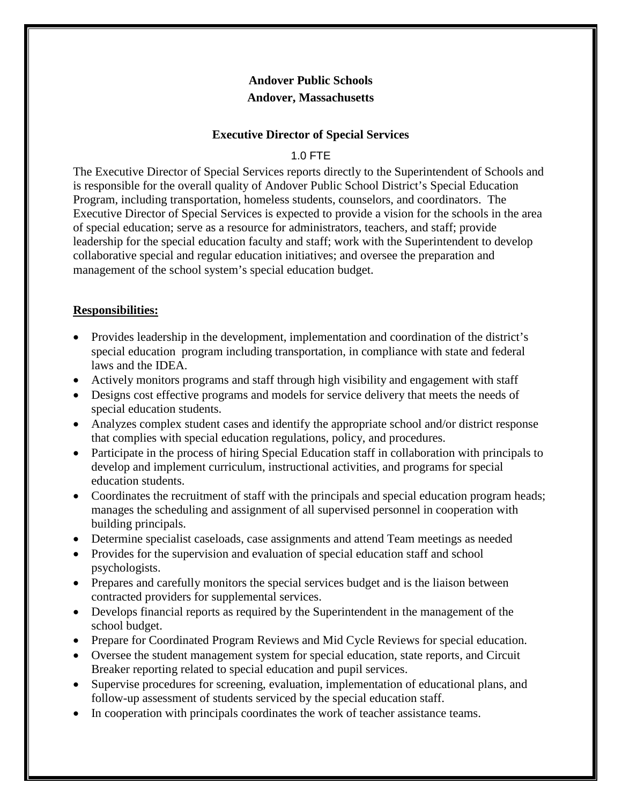# **Andover Public Schools Andover, Massachusetts**

#### **Executive Director of Special Services**

#### 1.0 FTE

The Executive Director of Special Services reports directly to the Superintendent of Schools and is responsible for the overall quality of Andover Public School District's Special Education Program, including transportation, homeless students, counselors, and coordinators. The Executive Director of Special Services is expected to provide a vision for the schools in the area of special education; serve as a resource for administrators, teachers, and staff; provide leadership for the special education faculty and staff; work with the Superintendent to develop collaborative special and regular education initiatives; and oversee the preparation and management of the school system's special education budget.

# **Responsibilities:**

- Provides leadership in the development, implementation and coordination of the district's special education program including transportation, in compliance with state and federal laws and the IDEA.
- Actively monitors programs and staff through high visibility and engagement with staff
- Designs cost effective programs and models for service delivery that meets the needs of special education students.
- Analyzes complex student cases and identify the appropriate school and/or district response that complies with special education regulations, policy, and procedures.
- Participate in the process of hiring Special Education staff in collaboration with principals to develop and implement curriculum, instructional activities, and programs for special education students.
- Coordinates the recruitment of staff with the principals and special education program heads; manages the scheduling and assignment of all supervised personnel in cooperation with building principals.
- Determine specialist caseloads, case assignments and attend Team meetings as needed
- Provides for the supervision and evaluation of special education staff and school psychologists.
- Prepares and carefully monitors the special services budget and is the liaison between contracted providers for supplemental services.
- Develops financial reports as required by the Superintendent in the management of the school budget.
- Prepare for Coordinated Program Reviews and Mid Cycle Reviews for special education.
- Oversee the student management system for special education, state reports, and Circuit Breaker reporting related to special education and pupil services.
- Supervise procedures for screening, evaluation, implementation of educational plans, and follow-up assessment of students serviced by the special education staff.
- In cooperation with principals coordinates the work of teacher assistance teams.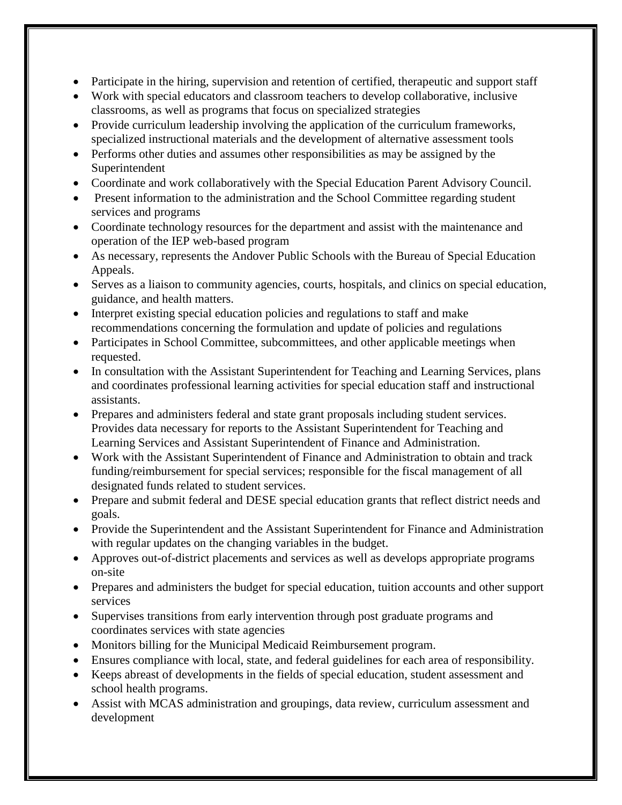- Participate in the hiring, supervision and retention of certified, therapeutic and support staff
- Work with special educators and classroom teachers to develop collaborative, inclusive classrooms, as well as programs that focus on specialized strategies
- Provide curriculum leadership involving the application of the curriculum frameworks, specialized instructional materials and the development of alternative assessment tools
- Performs other duties and assumes other responsibilities as may be assigned by the Superintendent
- Coordinate and work collaboratively with the Special Education Parent Advisory Council.
- Present information to the administration and the School Committee regarding student services and programs
- Coordinate technology resources for the department and assist with the maintenance and operation of the IEP web-based program
- As necessary, represents the Andover Public Schools with the Bureau of Special Education Appeals.
- Serves as a liaison to community agencies, courts, hospitals, and clinics on special education, guidance, and health matters.
- Interpret existing special education policies and regulations to staff and make recommendations concerning the formulation and update of policies and regulations
- Participates in School Committee, subcommittees, and other applicable meetings when requested.
- In consultation with the Assistant Superintendent for Teaching and Learning Services, plans and coordinates professional learning activities for special education staff and instructional assistants.
- Prepares and administers federal and state grant proposals including student services. Provides data necessary for reports to the Assistant Superintendent for Teaching and Learning Services and Assistant Superintendent of Finance and Administration.
- Work with the Assistant Superintendent of Finance and Administration to obtain and track funding/reimbursement for special services; responsible for the fiscal management of all designated funds related to student services.
- Prepare and submit federal and DESE special education grants that reflect district needs and goals.
- Provide the Superintendent and the Assistant Superintendent for Finance and Administration with regular updates on the changing variables in the budget.
- Approves out-of-district placements and services as well as develops appropriate programs on-site
- Prepares and administers the budget for special education, tuition accounts and other support services
- Supervises transitions from early intervention through post graduate programs and coordinates services with state agencies
- Monitors billing for the Municipal Medicaid Reimbursement program.
- Ensures compliance with local, state, and federal guidelines for each area of responsibility.
- Keeps abreast of developments in the fields of special education, student assessment and school health programs.
- Assist with MCAS administration and groupings, data review, curriculum assessment and development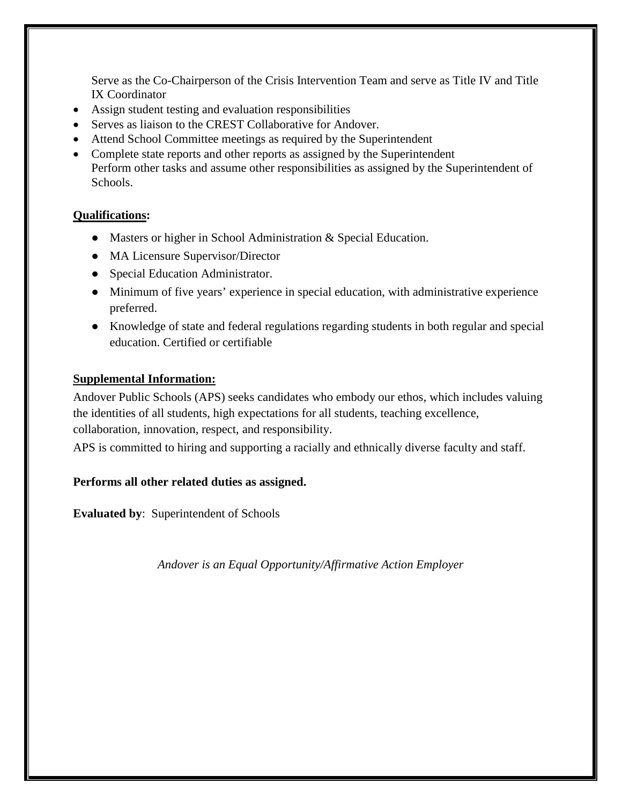Serve as the Co-Chairperson of the Crisis Intervention Team and serve as Title IV and Title IX Coordinator

- Assign student testing and evaluation responsibilities
- Serves as liaison to the CREST Collaborative for Andover.
- Attend School Committee meetings as required by the Superintendent
- Complete state reports and other reports as assigned by the Superintendent Perform other tasks and assume other responsibilities as assigned by the Superintendent of Schools.

# **Qualifications:**

- Masters or higher in School Administration & Special Education.
- MA Licensure Supervisor/Director
- Special Education Administrator.
- Minimum of five years' experience in special education, with administrative experience preferred.
- Knowledge of state and federal regulations regarding students in both regular and special education. Certified or certifiable

# **Supplemental Information:**

Andover Public Schools (APS) seeks candidates who embody our ethos, which includes valuing the identities of all students, high expectations for all students, teaching excellence, collaboration, innovation, respect, and responsibility.

APS is committed to hiring and supporting a racially and ethnically diverse faculty and staff.

# **Performs all other related duties as assigned.**

**Evaluated by**: Superintendent of Schools

*Andover is an Equal Opportunity/Affirmative Action Employer*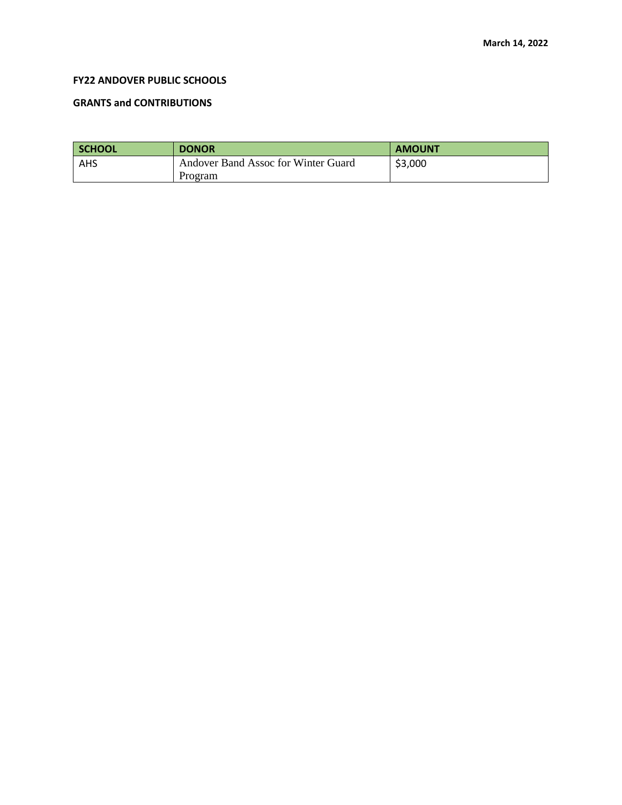#### **FY22 ANDOVER PUBLIC SCHOOLS**

#### **GRANTS and CONTRIBUTIONS**

| SCHOOL | <b>DONOR</b>                        | <b>AMOUNT</b> |
|--------|-------------------------------------|---------------|
| AHS    | Andover Band Assoc for Winter Guard | \$3,000       |
|        | Program                             |               |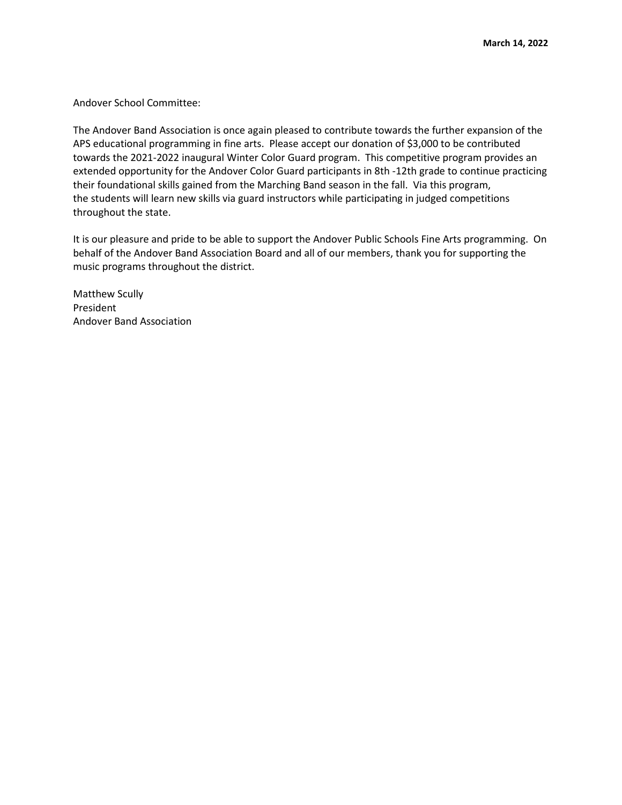Andover School Committee:

The Andover Band Association is once again pleased to contribute towards the further expansion of the APS educational programming in fine arts. Please accept our donation of \$3,000 to be contributed towards the 2021-2022 inaugural Winter Color Guard program. This competitive program provides an extended opportunity for the Andover Color Guard participants in 8th -12th grade to continue practicing their foundational skills gained from the Marching Band season in the fall. Via this program, the students will learn new skills via guard instructors while participating in judged competitions throughout the state.

It is our pleasure and pride to be able to support the Andover Public Schools Fine Arts programming. On behalf of the Andover Band Association Board and all of our members, thank you for supporting the music programs throughout the district.

Matthew Scully President Andover Band Association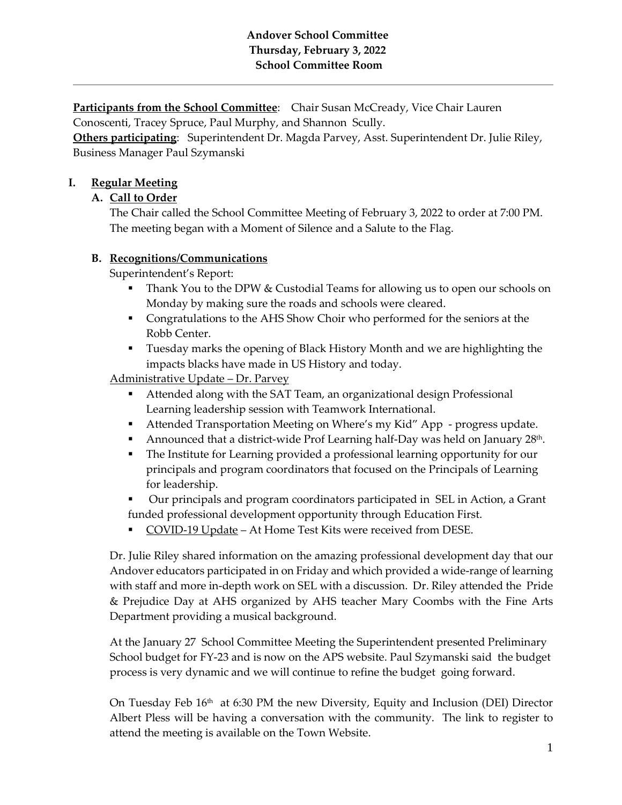**Participants from the School Committee:** Chair Susan McCready, Vice Chair Lauren Conoscenti, Tracey Spruce, Paul Murphy, and Shannon Scully.

**Others participating**: Superintendent Dr. Magda Parvey, Asst. Superintendent Dr. Julie Riley, Business Manager Paul Szymanski

# **I. Regular Meeting**

# **A. Call to Order**

The Chair called the School Committee Meeting of February 3, 2022 to order at 7:00 PM. The meeting began with a Moment of Silence and a Salute to the Flag.

# **B. Recognitions/Communications**

Superintendent's Report:

- **Thank You to the DPW & Custodial Teams for allowing us to open our schools on** Monday by making sure the roads and schools were cleared.
- Congratulations to the AHS Show Choir who performed for the seniors at the Robb Center.
- Tuesday marks the opening of Black History Month and we are highlighting the impacts blacks have made in US History and today.

Administrative Update – Dr. Parvey

- Attended along with the SAT Team, an organizational design Professional Learning leadership session with Teamwork International.
- Attended Transportation Meeting on Where's my Kid" App progress update.
- Announced that a district-wide Prof Learning half-Day was held on January  $28<sup>th</sup>$ .
- The Institute for Learning provided a professional learning opportunity for our principals and program coordinators that focused on the Principals of Learning for leadership.
- Our principals and program coordinators participated in SEL in Action, a Grant funded professional development opportunity through Education First.
- COVID-19 Update At Home Test Kits were received from DESE.

Dr. Julie Riley shared information on the amazing professional development day that our Andover educators participated in on Friday and which provided a wide-range of learning with staff and more in-depth work on SEL with a discussion. Dr. Riley attended the Pride & Prejudice Day at AHS organized by AHS teacher Mary Coombs with the Fine Arts Department providing a musical background.

At the January 27 School Committee Meeting the Superintendent presented Preliminary School budget for FY-23 and is now on the APS website. Paul Szymanski said the budget process is very dynamic and we will continue to refine the budget going forward.

On Tuesday Feb  $16<sup>th</sup>$  at 6:30 PM the new Diversity, Equity and Inclusion (DEI) Director Albert Pless will be having a conversation with the community. The link to register to attend the meeting is available on the Town Website.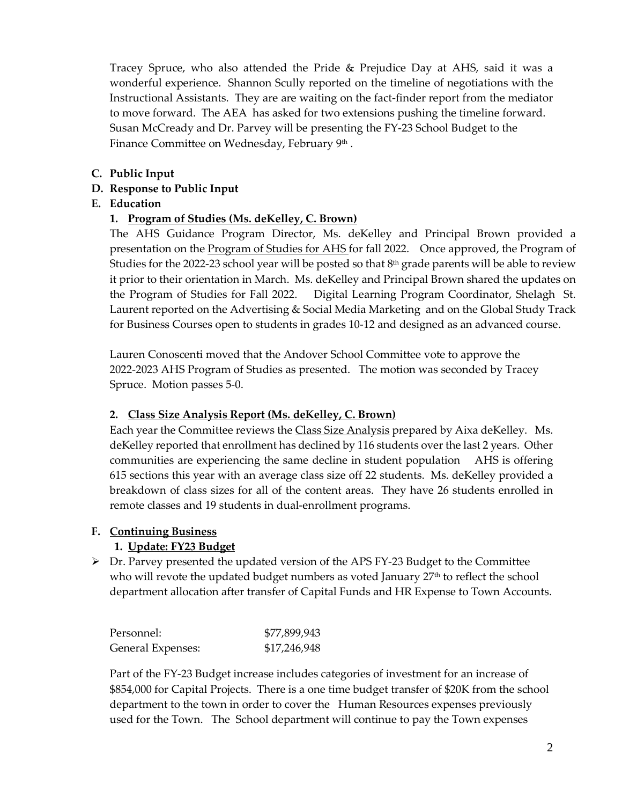Tracey Spruce, who also attended the Pride & Prejudice Day at AHS, said it was a wonderful experience. Shannon Scully reported on the timeline of negotiations with the Instructional Assistants. They are are waiting on the fact-finder report from the mediator to move forward. The AEA has asked for two extensions pushing the timeline forward. Susan McCready and Dr. Parvey will be presenting the FY-23 School Budget to the Finance Committee on Wednesday, February 9<sup>th</sup>.

**C. Public Input** 

### **D. Response to Public Input**

#### **E. Education**

#### **1. Program of Studies (Ms. deKelley, C. Brown)**

The AHS Guidance Program Director, Ms. deKelley and Principal Brown provided a presentation on the **Program of Studies for AHS** for fall 2022. Once approved, the Program of Studies for the 2022-23 school year will be posted so that  $8<sup>th</sup>$  grade parents will be able to review it prior to their orientation in March. Ms. deKelley and Principal Brown shared the updates on the Program of Studies for Fall 2022. Digital Learning Program Coordinator, Shelagh St. Laurent reported on the Advertising & Social Media Marketing and on the Global Study Track for Business Courses open to students in grades 10-12 and designed as an advanced course.

Lauren Conoscenti moved that the Andover School Committee vote to approve the 2022-2023 AHS Program of Studies as presented. The motion was seconded by Tracey Spruce. Motion passes 5-0.

#### **2. Class Size Analysis Report (Ms. deKelley, C. Brown)**

Each year the Committee reviews th[e Class Size Analysis](https://www.aps1.net/DocumentCenter/View/12208/Enrollment-Presentation-2021-2022?bidId=) prepared by Aixa deKelley. Ms. deKelley reported that enrollment has declined by 116 students over the last 2 years. Other communities are experiencing the same decline in student population AHS is offering 615 sections this year with an average class size off 22 students. Ms. deKelley provided a breakdown of class sizes for all of the content areas. They have 26 students enrolled in remote classes and 19 students in dual-enrollment programs.

#### **F. Continuing Business**

# **1. Update: FY23 Budget**

 $\triangleright$  Dr. Parvey presented the updated version of the APS FY-23 Budget to the Committee who will revote the updated budget numbers as voted January  $27<sup>th</sup>$  to reflect the school department allocation after transfer of Capital Funds and HR Expense to Town Accounts.

| Personnel:        | \$77,899,943 |
|-------------------|--------------|
| General Expenses: | \$17,246,948 |

Part of the FY-23 Budget increase includes categories of investment for an increase of \$854,000 for Capital Projects. There is a one time budget transfer of \$20K from the school department to the town in order to cover the Human Resources expenses previously used for the Town. The School department will continue to pay the Town expenses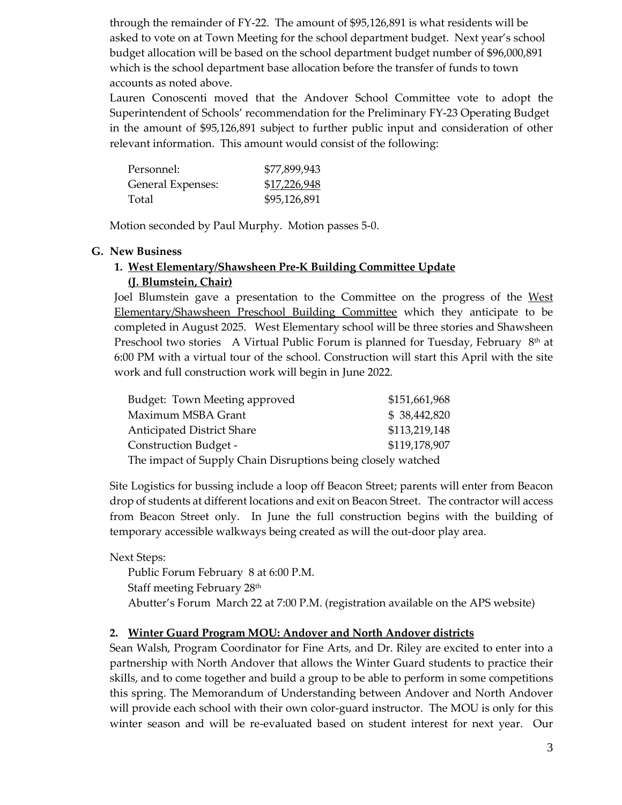through the remainder of FY-22. The amount of \$95,126,891 is what residents will be asked to vote on at Town Meeting for the school department budget. Next year's school budget allocation will be based on the school department budget number of \$96,000,891 which is the school department base allocation before the transfer of funds to town accounts as noted above.

Lauren Conoscenti moved that the Andover School Committee vote to adopt the Superintendent of Schools' recommendation for the Preliminary FY-23 Operating Budget in the amount of \$95,126,891 subject to further public input and consideration of other relevant information. This amount would consist of the following:

| Personnel:        | \$77,899,943 |
|-------------------|--------------|
| General Expenses: | \$17,226,948 |
| Total             | \$95,126,891 |

Motion seconded by Paul Murphy. Motion passes 5-0.

#### **G. New Business**

# **1. West Elementary/Shawsheen Pre-K Building Committee Update**

#### **(J. Blumstein, Chair)**

Joel Blumstein gave a presentation to the Committee on the progress of the [West](https://www.aps1.net/DocumentCenter/View/12207/WESPSC-Update?bidId=)  [Elementary/Shawsheen Preschool Building Committee](https://www.aps1.net/DocumentCenter/View/12207/WESPSC-Update?bidId=) which they anticipate to be completed in August 2025. West Elementary school will be three stories and Shawsheen Preschool two stories A Virtual Public Forum is planned for Tuesday, February 8<sup>th</sup> at 6:00 PM with a virtual tour of the school. Construction will start this April with the site work and full construction work will begin in June 2022.

| Budget: Town Meeting approved                                | \$151,661,968 |  |
|--------------------------------------------------------------|---------------|--|
| Maximum MSBA Grant                                           | \$38,442,820  |  |
| Anticipated District Share                                   | \$113,219,148 |  |
| Construction Budget -                                        | \$119,178,907 |  |
| The impact of Supply Chain Disruptions being closely watched |               |  |

Site Logistics for bussing include a loop off Beacon Street; parents will enter from Beacon drop of students at different locations and exit on Beacon Street. The contractor will access from Beacon Street only. In June the full construction begins with the building of temporary accessible walkways being created as will the out-door play area.

Next Steps:

Public Forum February 8 at 6:00 P.M. Staff meeting February 28<sup>th</sup> Abutter's Forum March 22 at 7:00 P.M. (registration available on the APS website)

#### **2. Winter Guard Program MOU: Andover and North Andover districts**

Sean Walsh, Program Coordinator for Fine Arts, and Dr. Riley are excited to enter into a partnership with North Andover that allows the Winter Guard students to practice their skills, and to come together and build a group to be able to perform in some competitions this spring. The Memorandum of Understanding between Andover and North Andover will provide each school with their own color-guard instructor. The MOU is only for this winter season and will be re-evaluated based on student interest for next year. Our